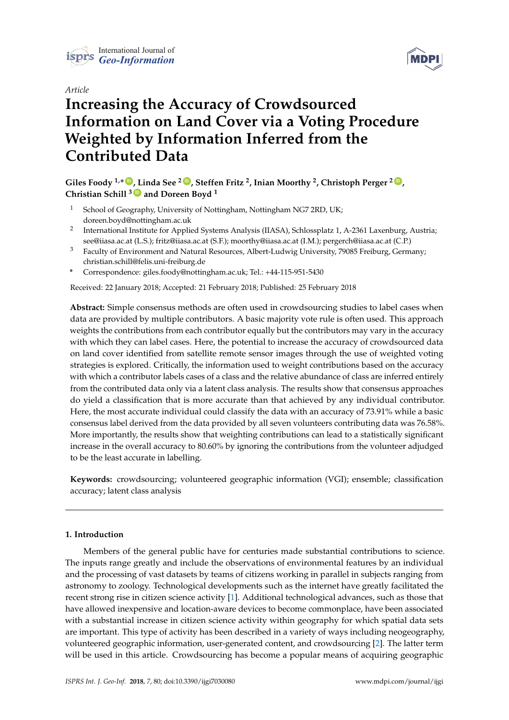

# *Article*



# **Increasing the Accuracy of Crowdsourced Information on Land Cover via a Voting Procedure Weighted by Information Inferred from the Contributed Data**

# **Giles Foody 1,\* [ID](https://orcid.org/0000-0001-6464-3054) , Linda See <sup>2</sup> [ID](https://orcid.org/0000-0002-2665-7065) , Steffen Fritz <sup>2</sup> , Inian Moorthy <sup>2</sup> , Christoph Perger <sup>2</sup> [ID](https://orcid.org/0000-0002-7206-4148) , Christian Schill <sup>3</sup> [ID](https://orcid.org/0000-0001-7093-443X) and Doreen Boyd <sup>1</sup>**

- <sup>1</sup> School of Geography, University of Nottingham, Nottingham NG7 2RD, UK; doreen.boyd@nottingham.ac.uk
- 2 International Institute for Applied Systems Analysis (IIASA), Schlossplatz 1, A-2361 Laxenburg, Austria; see@iiasa.ac.at (L.S.); fritz@iiasa.ac.at (S.F.); moorthy@iiasa.ac.at (I.M.); pergerch@iiasa.ac.at (C.P.)
- <sup>3</sup> Faculty of Environment and Natural Resources, Albert-Ludwig University, 79085 Freiburg, Germany; christian.schill@felis.uni-freiburg.de
- **\*** Correspondence: giles.foody@nottingham.ac.uk; Tel.: +44-115-951-5430

Received: 22 January 2018; Accepted: 21 February 2018; Published: 25 February 2018

**Abstract:** Simple consensus methods are often used in crowdsourcing studies to label cases when data are provided by multiple contributors. A basic majority vote rule is often used. This approach weights the contributions from each contributor equally but the contributors may vary in the accuracy with which they can label cases. Here, the potential to increase the accuracy of crowdsourced data on land cover identified from satellite remote sensor images through the use of weighted voting strategies is explored. Critically, the information used to weight contributions based on the accuracy with which a contributor labels cases of a class and the relative abundance of class are inferred entirely from the contributed data only via a latent class analysis. The results show that consensus approaches do yield a classification that is more accurate than that achieved by any individual contributor. Here, the most accurate individual could classify the data with an accuracy of 73.91% while a basic consensus label derived from the data provided by all seven volunteers contributing data was 76.58%. More importantly, the results show that weighting contributions can lead to a statistically significant increase in the overall accuracy to 80.60% by ignoring the contributions from the volunteer adjudged to be the least accurate in labelling.

**Keywords:** crowdsourcing; volunteered geographic information (VGI); ensemble; classification accuracy; latent class analysis

## **1. Introduction**

Members of the general public have for centuries made substantial contributions to science. The inputs range greatly and include the observations of environmental features by an individual and the processing of vast datasets by teams of citizens working in parallel in subjects ranging from astronomy to zoology. Technological developments such as the internet have greatly facilitated the recent strong rise in citizen science activity [\[1\]](#page-9-0). Additional technological advances, such as those that have allowed inexpensive and location-aware devices to become commonplace, have been associated with a substantial increase in citizen science activity within geography for which spatial data sets are important. This type of activity has been described in a variety of ways including neogeography, volunteered geographic information, user-generated content, and crowdsourcing [\[2\]](#page-9-1). The latter term will be used in this article. Crowdsourcing has become a popular means of acquiring geographic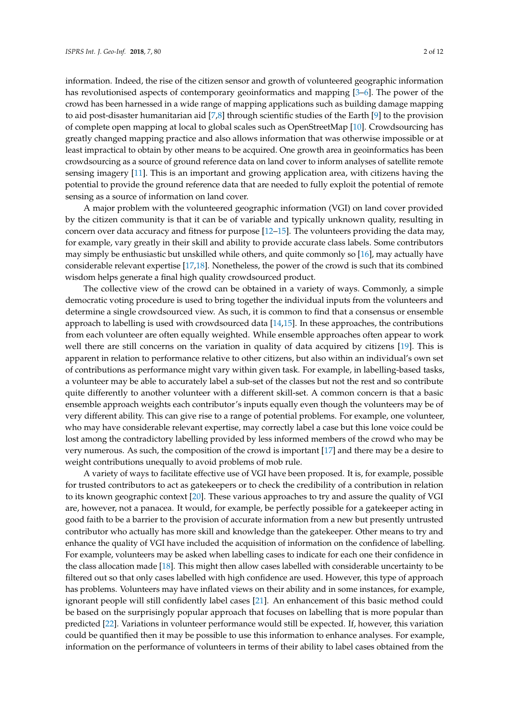information. Indeed, the rise of the citizen sensor and growth of volunteered geographic information has revolutionised aspects of contemporary geoinformatics and mapping [\[3–](#page-9-2)[6\]](#page-9-3). The power of the crowd has been harnessed in a wide range of mapping applications such as building damage mapping to aid post-disaster humanitarian aid [\[7,](#page-9-4)[8\]](#page-9-5) through scientific studies of the Earth [\[9\]](#page-9-6) to the provision of complete open mapping at local to global scales such as OpenStreetMap [\[10\]](#page-9-7). Crowdsourcing has greatly changed mapping practice and also allows information that was otherwise impossible or at least impractical to obtain by other means to be acquired. One growth area in geoinformatics has been crowdsourcing as a source of ground reference data on land cover to inform analyses of satellite remote sensing imagery [\[11\]](#page-9-8). This is an important and growing application area, with citizens having the potential to provide the ground reference data that are needed to fully exploit the potential of remote sensing as a source of information on land cover.

A major problem with the volunteered geographic information (VGI) on land cover provided by the citizen community is that it can be of variable and typically unknown quality, resulting in concern over data accuracy and fitness for purpose  $[12–15]$  $[12–15]$ . The volunteers providing the data may, for example, vary greatly in their skill and ability to provide accurate class labels. Some contributors may simply be enthusiastic but unskilled while others, and quite commonly so [\[16\]](#page-10-1), may actually have considerable relevant expertise [\[17](#page-10-2)[,18\]](#page-10-3). Nonetheless, the power of the crowd is such that its combined wisdom helps generate a final high quality crowdsourced product.

The collective view of the crowd can be obtained in a variety of ways. Commonly, a simple democratic voting procedure is used to bring together the individual inputs from the volunteers and determine a single crowdsourced view. As such, it is common to find that a consensus or ensemble approach to labelling is used with crowdsourced data [\[14](#page-10-4)[,15\]](#page-10-0). In these approaches, the contributions from each volunteer are often equally weighted. While ensemble approaches often appear to work well there are still concerns on the variation in quality of data acquired by citizens [\[19\]](#page-10-5). This is apparent in relation to performance relative to other citizens, but also within an individual's own set of contributions as performance might vary within given task. For example, in labelling-based tasks, a volunteer may be able to accurately label a sub-set of the classes but not the rest and so contribute quite differently to another volunteer with a different skill-set. A common concern is that a basic ensemble approach weights each contributor's inputs equally even though the volunteers may be of very different ability. This can give rise to a range of potential problems. For example, one volunteer, who may have considerable relevant expertise, may correctly label a case but this lone voice could be lost among the contradictory labelling provided by less informed members of the crowd who may be very numerous. As such, the composition of the crowd is important [\[17\]](#page-10-2) and there may be a desire to weight contributions unequally to avoid problems of mob rule.

A variety of ways to facilitate effective use of VGI have been proposed. It is, for example, possible for trusted contributors to act as gatekeepers or to check the credibility of a contribution in relation to its known geographic context [\[20\]](#page-10-6). These various approaches to try and assure the quality of VGI are, however, not a panacea. It would, for example, be perfectly possible for a gatekeeper acting in good faith to be a barrier to the provision of accurate information from a new but presently untrusted contributor who actually has more skill and knowledge than the gatekeeper. Other means to try and enhance the quality of VGI have included the acquisition of information on the confidence of labelling. For example, volunteers may be asked when labelling cases to indicate for each one their confidence in the class allocation made [\[18\]](#page-10-3). This might then allow cases labelled with considerable uncertainty to be filtered out so that only cases labelled with high confidence are used. However, this type of approach has problems. Volunteers may have inflated views on their ability and in some instances, for example, ignorant people will still confidently label cases [\[21\]](#page-10-7). An enhancement of this basic method could be based on the surprisingly popular approach that focuses on labelling that is more popular than predicted [\[22\]](#page-10-8). Variations in volunteer performance would still be expected. If, however, this variation could be quantified then it may be possible to use this information to enhance analyses. For example, information on the performance of volunteers in terms of their ability to label cases obtained from the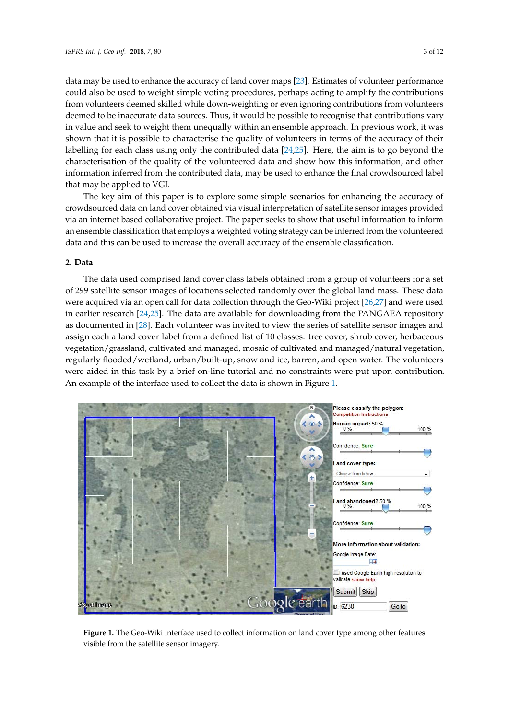data may be used to enhance the accuracy of land cover maps [\[23\]](#page-10-9). Estimates of volunteer performance could also be used to weight simple voting procedures, perhaps acting to amplify the contributions from volunteers deemed skilled while down-weighting or even ignoring contributions from volunteers deemed to be inaccurate data sources. Thus, it would be possible to recognise that contributions vary in value and seek to weight them unequally within an ensemble approach. In previous work, it was recognise that it is possible to characterise the quality of volunteers in terms of the accuracy of their labelling for each class using only the contributed data  $[24,25]$  $[24,25]$ . Here, the aim is to go beyond the characterisation of the quality of the volunteered data and show how this information, and other information inferred from the contributed data, may be used to enhance the final crowdsourced label  $\,$ that may be applied to VGI. approach. In probability work, it was shown that it is possible to characterise the volunteers in terms of the accuracy of the

The key aim of this paper is to explore some simple scenarios for enhancing the accuracy of The key aim of this paper is to explore some simple scenarios for enhancing the accuracy of crowdsourced data on land cover obtained via visual interpretation of satellite sensor images provided crowdsourced data on land cover obtained via visual interpretation of satellite sensor images via an internet based collaborative project. The paper seeks to show that useful information to inform an ensemble classification that employs a weighted voting strategy can be inferred from the volunteered data and this can be used to increase the overall accuracy of the ensemble classification.

#### **2. Data**

The data used comprised land cover class labels obtained from a group of volunteers for a set **2. Data**  of 299 satellite sensor images of locations selected randomly over the global land mass. These data were acquired via an open call for data collection through the Geo-Wiki project [\[26](#page-10-12)[,27\]](#page-10-13) and were used in earlier research [\[24](#page-10-10)[,25\]](#page-10-11). The data are available for downloading from the PANGAEA repository as documented in [\[28\]](#page-10-14). Each volunteer was invited to view the series of satellite sensor images and assign each a land cover label from a defined list of 10 classes: tree cover, shrub cover, herbaceous vegetation/grassland, cultivated and managed, mosaic of cultivated and managed/natural vegetation, regularly flooded/wetland, urban/built-up, snow and ice, barren, and open water. The volunteers were aided in this task by a brief on-line tutorial and no constraints were put upon contribution. An example of the interface used to collect the data is shown in Figure [1.](#page-2-0) contribution. An example of the interface used to collect the data is shown in Figure 1.

<span id="page-2-0"></span>

**Figure 1.** The Geo-Wiki interface used to collect information on land cover type among other features visible from the satellite sensor imagery.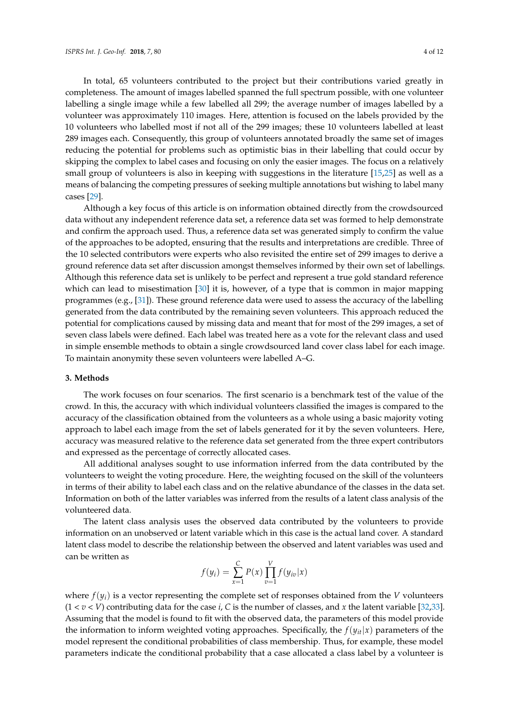In total, 65 volunteers contributed to the project but their contributions varied greatly in completeness. The amount of images labelled spanned the full spectrum possible, with one volunteer labelling a single image while a few labelled all 299; the average number of images labelled by a volunteer was approximately 110 images. Here, attention is focused on the labels provided by the 10 volunteers who labelled most if not all of the 299 images; these 10 volunteers labelled at least 289 images each. Consequently, this group of volunteers annotated broadly the same set of images reducing the potential for problems such as optimistic bias in their labelling that could occur by skipping the complex to label cases and focusing on only the easier images. The focus on a relatively small group of volunteers is also in keeping with suggestions in the literature [\[15,](#page-10-0)[25\]](#page-10-11) as well as a means of balancing the competing pressures of seeking multiple annotations but wishing to label many cases [\[29\]](#page-10-15).

Although a key focus of this article is on information obtained directly from the crowdsourced data without any independent reference data set, a reference data set was formed to help demonstrate and confirm the approach used. Thus, a reference data set was generated simply to confirm the value of the approaches to be adopted, ensuring that the results and interpretations are credible. Three of the 10 selected contributors were experts who also revisited the entire set of 299 images to derive a ground reference data set after discussion amongst themselves informed by their own set of labellings. Although this reference data set is unlikely to be perfect and represent a true gold standard reference which can lead to misestimation [\[30\]](#page-11-0) it is, however, of a type that is common in major mapping programmes (e.g., [\[31\]](#page-11-1)). These ground reference data were used to assess the accuracy of the labelling generated from the data contributed by the remaining seven volunteers. This approach reduced the potential for complications caused by missing data and meant that for most of the 299 images, a set of seven class labels were defined. Each label was treated here as a vote for the relevant class and used in simple ensemble methods to obtain a single crowdsourced land cover class label for each image. To maintain anonymity these seven volunteers were labelled A–G.

#### **3. Methods**

The work focuses on four scenarios. The first scenario is a benchmark test of the value of the crowd. In this, the accuracy with which individual volunteers classified the images is compared to the accuracy of the classification obtained from the volunteers as a whole using a basic majority voting approach to label each image from the set of labels generated for it by the seven volunteers. Here, accuracy was measured relative to the reference data set generated from the three expert contributors and expressed as the percentage of correctly allocated cases.

All additional analyses sought to use information inferred from the data contributed by the volunteers to weight the voting procedure. Here, the weighting focused on the skill of the volunteers in terms of their ability to label each class and on the relative abundance of the classes in the data set. Information on both of the latter variables was inferred from the results of a latent class analysis of the volunteered data.

The latent class analysis uses the observed data contributed by the volunteers to provide information on an unobserved or latent variable which in this case is the actual land cover. A standard latent class model to describe the relationship between the observed and latent variables was used and can be written as

$$
f(y_i) = \sum_{x=1}^{C} P(x) \prod_{v=1}^{V} f(y_{iv}|x)
$$

where  $f(y_i)$  is a vector representing the complete set of responses obtained from the *V* volunteers  $(1 < v < V)$  contributing data for the case *i*, *C* is the number of classes, and *x* the latent variable [\[32](#page-11-2)[,33\]](#page-11-3). Assuming that the model is found to fit with the observed data, the parameters of this model provide the information to inform weighted voting approaches. Specifically, the  $f(y_{it}|x)$  parameters of the model represent the conditional probabilities of class membership. Thus, for example, these model parameters indicate the conditional probability that a case allocated a class label by a volunteer is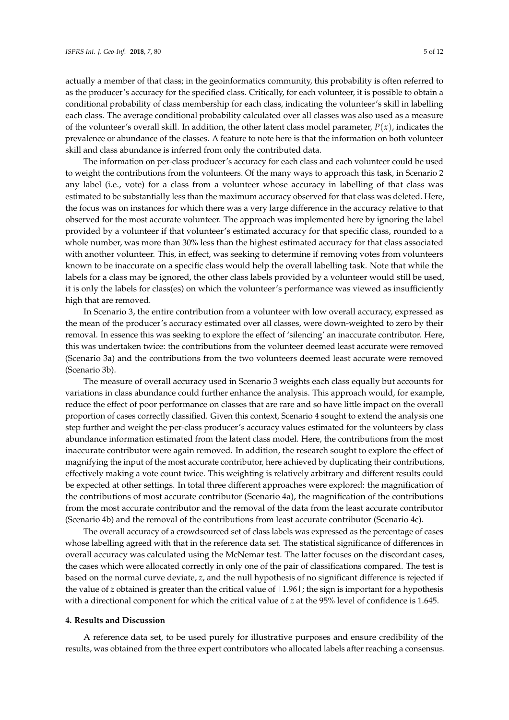actually a member of that class; in the geoinformatics community, this probability is often referred to as the producer's accuracy for the specified class. Critically, for each volunteer, it is possible to obtain a conditional probability of class membership for each class, indicating the volunteer's skill in labelling each class. The average conditional probability calculated over all classes was also used as a measure of the volunteer's overall skill. In addition, the other latent class model parameter,  $P(x)$ , indicates the prevalence or abundance of the classes. A feature to note here is that the information on both volunteer skill and class abundance is inferred from only the contributed data.

The information on per-class producer's accuracy for each class and each volunteer could be used to weight the contributions from the volunteers. Of the many ways to approach this task, in Scenario 2 any label (i.e., vote) for a class from a volunteer whose accuracy in labelling of that class was estimated to be substantially less than the maximum accuracy observed for that class was deleted. Here, the focus was on instances for which there was a very large difference in the accuracy relative to that observed for the most accurate volunteer. The approach was implemented here by ignoring the label provided by a volunteer if that volunteer's estimated accuracy for that specific class, rounded to a whole number, was more than 30% less than the highest estimated accuracy for that class associated with another volunteer. This, in effect, was seeking to determine if removing votes from volunteers known to be inaccurate on a specific class would help the overall labelling task. Note that while the labels for a class may be ignored, the other class labels provided by a volunteer would still be used, it is only the labels for class(es) on which the volunteer's performance was viewed as insufficiently high that are removed.

In Scenario 3, the entire contribution from a volunteer with low overall accuracy, expressed as the mean of the producer's accuracy estimated over all classes, were down-weighted to zero by their removal. In essence this was seeking to explore the effect of 'silencing' an inaccurate contributor. Here, this was undertaken twice: the contributions from the volunteer deemed least accurate were removed (Scenario 3a) and the contributions from the two volunteers deemed least accurate were removed (Scenario 3b).

The measure of overall accuracy used in Scenario 3 weights each class equally but accounts for variations in class abundance could further enhance the analysis. This approach would, for example, reduce the effect of poor performance on classes that are rare and so have little impact on the overall proportion of cases correctly classified. Given this context, Scenario 4 sought to extend the analysis one step further and weight the per-class producer's accuracy values estimated for the volunteers by class abundance information estimated from the latent class model. Here, the contributions from the most inaccurate contributor were again removed. In addition, the research sought to explore the effect of magnifying the input of the most accurate contributor, here achieved by duplicating their contributions, effectively making a vote count twice. This weighting is relatively arbitrary and different results could be expected at other settings. In total three different approaches were explored: the magnification of the contributions of most accurate contributor (Scenario 4a), the magnification of the contributions from the most accurate contributor and the removal of the data from the least accurate contributor (Scenario 4b) and the removal of the contributions from least accurate contributor (Scenario 4c).

The overall accuracy of a crowdsourced set of class labels was expressed as the percentage of cases whose labelling agreed with that in the reference data set. The statistical significance of differences in overall accuracy was calculated using the McNemar test. The latter focuses on the discordant cases, the cases which were allocated correctly in only one of the pair of classifications compared. The test is based on the normal curve deviate, *z*, and the null hypothesis of no significant difference is rejected if the value of *z* obtained is greater than the critical value of  $|1.96|$ ; the sign is important for a hypothesis with a directional component for which the critical value of *z* at the 95% level of confidence is 1.645.

#### **4. Results and Discussion**

A reference data set, to be used purely for illustrative purposes and ensure credibility of the results, was obtained from the three expert contributors who allocated labels after reaching a consensus.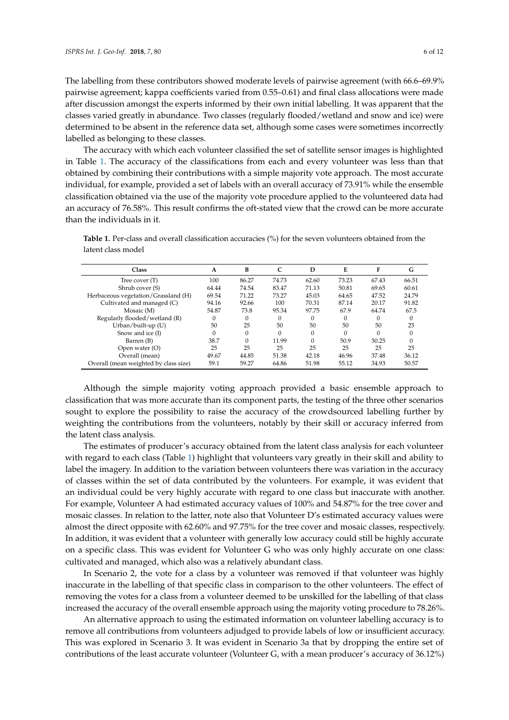The labelling from these contributors showed moderate levels of pairwise agreement (with 66.6–69.9% pairwise agreement; kappa coefficients varied from 0.55–0.61) and final class allocations were made after discussion amongst the experts informed by their own initial labelling. It was apparent that the classes varied greatly in abundance. Two classes (regularly flooded/wetland and snow and ice) were determined to be absent in the reference data set, although some cases were sometimes incorrectly labelled as belonging to these classes.

The accuracy with which each volunteer classified the set of satellite sensor images is highlighted in Table [1.](#page-5-0) The accuracy of the classifications from each and every volunteer was less than that obtained by combining their contributions with a simple majority vote approach. The most accurate individual, for example, provided a set of labels with an overall accuracy of 73.91% while the ensemble classification obtained via the use of the majority vote procedure applied to the volunteered data had an accuracy of 76.58%. This result confirms the oft-stated view that the crowd can be more accurate than the individuals in it.

<span id="page-5-0"></span>Table 1. Per-class and overall classification accuracies (%) for the seven volunteers obtained from the latent class model

| <b>Class</b>                          | A        | В        | C        | D        | Е     | F        | G     |
|---------------------------------------|----------|----------|----------|----------|-------|----------|-------|
| Tree cover (T)                        | 100      | 86.27    | 74.73    | 62.60    | 73.23 | 67.43    | 66.51 |
| Shrub cover (S)                       | 64.44    | 74.54    | 83.47    | 71.13    | 50.81 | 69.65    | 60.61 |
| Herbaceous vegetation/Grassland (H)   | 69.54    | 71.22    | 73.27    | 45.03    | 64.65 | 47.52    | 24.79 |
| Cultivated and managed (C)            | 94.16    | 92.66    | 100      | 70.31    | 87.14 | 20.17    | 91.82 |
| Mosaic (M)                            | 54.87    | 73.8     | 95.34    | 97.75    | 67.9  | 64.74    | 67.5  |
| Regularly flooded/wetland (R)         | 0        | 0        | $\Omega$ | $\Omega$ | 0     | $\Omega$ | 0     |
| Urban/built-up (U)                    | 50       | 25       | 50       | 50       | 50    | 50       | 25    |
| Snow and ice (I)                      | $\Omega$ | $\Omega$ | $\Omega$ | $\Omega$ |       | $\Omega$ |       |
| Barren (B)                            | 38.7     | $\Omega$ | 11.99    | $\Omega$ | 50.9  | 30.25    |       |
| Open water (O)                        | 25       | 25       | 25       | 25       | 25    | 25       | 25    |
| Overall (mean)                        | 49.67    | 44.85    | 51.38    | 42.18    | 46.96 | 37.48    | 36.12 |
| Overall (mean weighted by class size) | 59.1     | 59.27    | 64.86    | 51.98    | 55.12 | 34.93    | 50.57 |
|                                       |          |          |          |          |       |          |       |

Although the simple majority voting approach provided a basic ensemble approach to classification that was more accurate than its component parts, the testing of the three other scenarios sought to explore the possibility to raise the accuracy of the crowdsourced labelling further by weighting the contributions from the volunteers, notably by their skill or accuracy inferred from the latent class analysis.

The estimates of producer's accuracy obtained from the latent class analysis for each volunteer with regard to each class (Table [1\)](#page-5-0) highlight that volunteers vary greatly in their skill and ability to label the imagery. In addition to the variation between volunteers there was variation in the accuracy of classes within the set of data contributed by the volunteers. For example, it was evident that an individual could be very highly accurate with regard to one class but inaccurate with another. For example, Volunteer A had estimated accuracy values of 100% and 54.87% for the tree cover and mosaic classes. In relation to the latter, note also that Volunteer D's estimated accuracy values were almost the direct opposite with 62.60% and 97.75% for the tree cover and mosaic classes, respectively. In addition, it was evident that a volunteer with generally low accuracy could still be highly accurate on a specific class. This was evident for Volunteer G who was only highly accurate on one class: cultivated and managed, which also was a relatively abundant class.

In Scenario 2, the vote for a class by a volunteer was removed if that volunteer was highly inaccurate in the labelling of that specific class in comparison to the other volunteers. The effect of removing the votes for a class from a volunteer deemed to be unskilled for the labelling of that class increased the accuracy of the overall ensemble approach using the majority voting procedure to 78.26%.

An alternative approach to using the estimated information on volunteer labelling accuracy is to remove all contributions from volunteers adjudged to provide labels of low or insufficient accuracy. This was explored in Scenario 3. It was evident in Scenario 3a that by dropping the entire set of contributions of the least accurate volunteer (Volunteer G, with a mean producer's accuracy of 36.12%)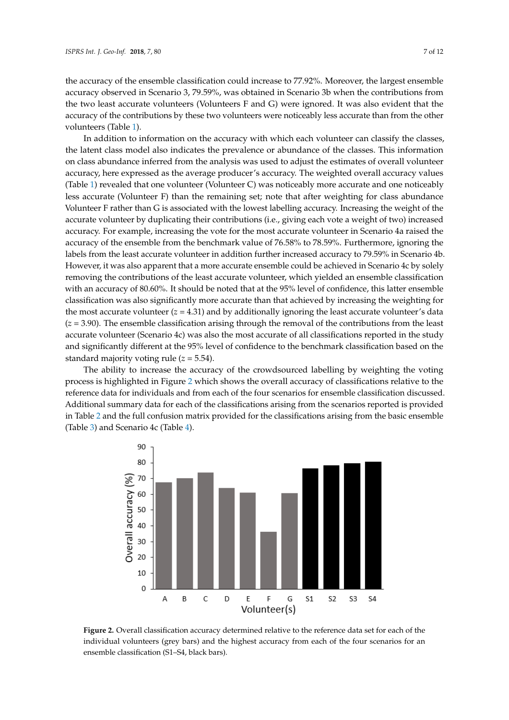the accuracy of the ensemble classification could increase to 77.92%. Moreover, the largest ensemble accuracy observed in Scenario 3, 79.59%, was obtained in Scenario 3b when the contributions from the two least accurate volunteers (Volunteers F and G) were ignored. It was also evident that the accuracy of the contributions by these two volunteers were noticeably less accurate than from the other volunteers (Table [1\)](#page-5-0).

In addition to information on the accuracy with which each volunteer can classify the classes, the latent class model also indicates the prevalence or abundance of the classes. This information on class abundance inferred from the analysis was used to adjust the estimates of overall volunteer accuracy, here expressed as the average producer's accuracy. The weighted overall accuracy values (Table [1\)](#page-5-0) revealed that one volunteer (Volunteer C) was noticeably more accurate and one noticeably less accurate (Volunteer F) than the remaining set; note that after weighting for class abundance Volunteer F rather than G is associated with the lowest labelling accuracy. Increasing the weight of the accurate volunteer by duplicating their contributions (i.e., giving each vote a weight of two) increased accuracy. For example, increasing the vote for the most accurate volunteer in Scenario 4a raised the accuracy of the ensemble from the benchmark value of 76.58% to 78.59%. Furthermore, ignoring the labels from the least accurate volunteer in addition further increased accuracy to 79.59% in Scenario 4b. However, it was also apparent that a more accurate ensemble could be achieved in Scenario 4c by solely removing the contributions of the least accurate volunteer, which yielded an ensemble classification with an accuracy of 80.60%. It should be noted that at the 95% level of confidence, this latter ensemble classification was also significantly more accurate than that achieved by increasing the weighting for the most accurate volunteer  $(z = 4.31)$  and by additionally ignoring the least accurate volunteer's data  $(z = 3.90)$ . The ensemble classification arising through the removal of the contributions from the least accurate volunteer (Scenario 4c) was also the most accurate of all classifications reported in the study and significantly different at the 95% level of confidence to the benchmark classification based on the standard majority voting rule  $(z = 5.54)$ . than the other volunteer (Torum Tor example, increasing the vole for the most accurate volunteer in secritive fa raised the accuracy of the reast accuracy volumely, which yielded an ensemble ena confidence classification alisting unough the removal of the confidential from

The ability to increase the accuracy of the crowdsourced labelling by weighting the voting process is highlighted in Figure 2 which shows [th](#page-6-0)e overall accuracy of classifications relative to the reference data for individuals and from each of the four scenarios for ensemble classification discussed. Additional summary data for each of the classifications arising from the scenarios reported is provided in Table [2](#page-7-0) and the full confusion matrix provided for the classifications arising from the basic ensemble (Table [3\)](#page-7-1) and Scenario 4c (Table [4\)](#page-7-2). basic ensemble (Table 3) and Scenario 4c (Table 4). ability to increase the accuracy of the crowasourced fabelin and the full confusion matrix provided for the classifications arising from the basic

<span id="page-6-0"></span>

**Figure 2.** Overall classification accuracy determined relative to the reference data set for each of the **Figure 2.** Overall classification accuracy determined relative to the reference data set for each of the  $\frac{1}{2}$  individual volume bars) and the highest accuracy from each of the four scenarios for an  $\frac{1}{2}$ individual volunteers (grey bars) and the highest accuracy from each of the four scenarios for an ensemble classification (S1–S4, black bars).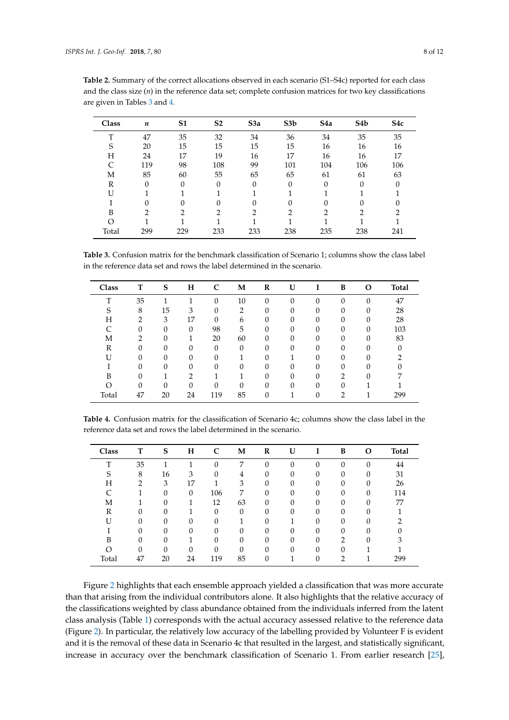| Class | n        | S <sub>1</sub> | S <sub>2</sub> | S <sub>3a</sub> | S <sub>3</sub> b | S <sub>4</sub> a | S <sub>4</sub> b | S <sub>4</sub> c |
|-------|----------|----------------|----------------|-----------------|------------------|------------------|------------------|------------------|
| T     | 47       | 35             | 32             | 34              | 36               | 34               | 35               | 35               |
| S     | 20       | 15             | 15             | 15              | 15               | 16               | 16               | 16               |
| Н     | 24       | 17             | 19             | 16              | 17               | 16               | 16               | 17               |
| C     | 119      | 98             | 108            | 99              | 101              | 104              | 106              | 106              |
| М     | 85       | 60             | 55             | 65              | 65               | 61               | 61               | 63               |
| R     | $\theta$ | $\Omega$       | 0              | $\Omega$        | $\Omega$         | $\Omega$         | 0                |                  |
| U     |          |                |                |                 |                  |                  |                  |                  |
|       | 0        | 0              | 0              | 0               | $\Omega$         | 0                |                  |                  |
| B     | 2        | っ              | າ              | っ               | ∍                | 2                | 2                | 2                |
| O     |          |                |                |                 |                  |                  |                  |                  |
| Total | 299      | 229            | 233            | 233             | 238              | 235              | 238              | 241              |

<span id="page-7-0"></span>**Table 2.** Summary of the correct allocations observed in each scenario (S1–S4c) reported for each class and the class size (*n*) in the reference data set; complete confusion matrices for two key classifications are given in Tables [3](#page-7-1) and [4.](#page-7-2)

<span id="page-7-1"></span>**Table 3.** Confusion matrix for the benchmark classification of Scenario 1; columns show the class label in the reference data set and rows the label determined in the scenario.

| Class | т  | S        | н        |          | M              | R | U |          | B | Ω        | <b>Total</b> |
|-------|----|----------|----------|----------|----------------|---|---|----------|---|----------|--------------|
| T     | 35 |          |          | $\Omega$ | 10             |   | 0 | 0        | 0 | $\Omega$ | 47           |
| c     | 8  | 15       | 3        | 0        | $\overline{2}$ |   |   | 0        |   |          | 28           |
| Н     | ∍  | 3        | 17       | $\Omega$ | 6              |   | 0 | $\Omega$ | 0 | O        | 28           |
|       | 0  | $\Omega$ | $\Omega$ | 98       | 5              |   | 0 | 0        | 0 | 0        | 103          |
| M     | ∍  | 0        |          | 20       | 60             |   | 0 | 0        | 0 | 0        | 83           |
| R     |    |          |          | 0        | 0              |   |   | 0        |   |          |              |
| IJ    |    |          |          | O        |                |   |   |          |   |          |              |
|       | 0  | O        | 0        | $\Omega$ | 0              |   | 0 | 0        | 0 | O        |              |
| B     | O  |          | າ        |          |                |   | 0 | 0        | っ | $\Omega$ |              |
|       | 0  | O        | 0        |          | 0              |   | 0 | 0        |   |          |              |
| Total | 47 | 20       | 24       | 119      | 85             | 0 |   | 0        | າ |          | 299          |

<span id="page-7-2"></span>**Table 4.** Confusion matrix for the classification of Scenario 4c; columns show the class label in the reference data set and rows the label determined in the scenario.

| Class |          | S        | н        |     | М        | R | U |   | B        | О        | <b>Total</b> |
|-------|----------|----------|----------|-----|----------|---|---|---|----------|----------|--------------|
| T     | 35       |          |          |     | ⇁        |   | 0 |   | $\Omega$ |          | 44           |
| S     | 8        | 16       | 3        |     | 4        |   | 0 |   |          |          | 31           |
| Н     | ◠        | 3        | 17       |     | 3        |   |   |   |          |          | 26           |
|       |          | $\Omega$ | 0        | 106 | 7        |   |   |   |          | ∩        | 114          |
| М     |          | ∩        |          | 12  | 63       |   |   |   | O        | n        | 77           |
| R     | 0        | ∩        |          |     | 0        |   | U |   | O        | n        |              |
|       | 0        | $\Omega$ | 0        |     |          |   |   |   | 0        | O        |              |
|       | 0        | $\Omega$ | $\Omega$ |     | $\Omega$ |   | 0 | ∩ | $\Omega$ | $\Omega$ |              |
| B     | $\Omega$ | $\Omega$ |          |     | 0        |   |   |   | ◠        | $\Omega$ | З            |
| ∩     | 0        |          | 0        |     | 0        |   |   |   |          |          |              |
| Total | 47       | 20       | 24       | 119 | 85       |   |   |   | ∍        |          | 299          |

Figure [2](#page-6-0) highlights that each ensemble approach yielded a classification that was more accurate than that arising from the individual contributors alone. It also highlights that the relative accuracy of the classifications weighted by class abundance obtained from the individuals inferred from the latent class analysis (Table [1\)](#page-5-0) corresponds with the actual accuracy assessed relative to the reference data (Figure [2\)](#page-6-0). In particular, the relatively low accuracy of the labelling provided by Volunteer F is evident and it is the removal of these data in Scenario 4c that resulted in the largest, and statistically significant, increase in accuracy over the benchmark classification of Scenario 1. From earlier research [\[25\]](#page-10-11),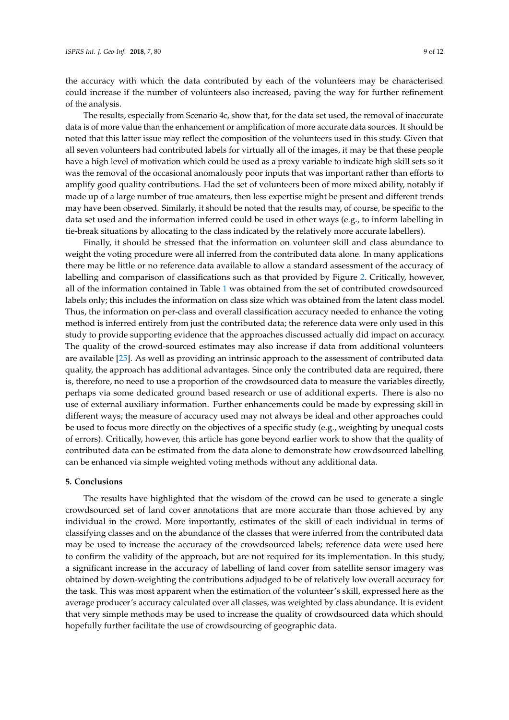the accuracy with which the data contributed by each of the volunteers may be characterised could increase if the number of volunteers also increased, paving the way for further refinement of the analysis.

The results, especially from Scenario 4c, show that, for the data set used, the removal of inaccurate data is of more value than the enhancement or amplification of more accurate data sources. It should be noted that this latter issue may reflect the composition of the volunteers used in this study. Given that all seven volunteers had contributed labels for virtually all of the images, it may be that these people have a high level of motivation which could be used as a proxy variable to indicate high skill sets so it was the removal of the occasional anomalously poor inputs that was important rather than efforts to amplify good quality contributions. Had the set of volunteers been of more mixed ability, notably if made up of a large number of true amateurs, then less expertise might be present and different trends may have been observed. Similarly, it should be noted that the results may, of course, be specific to the data set used and the information inferred could be used in other ways (e.g., to inform labelling in tie-break situations by allocating to the class indicated by the relatively more accurate labellers).

Finally, it should be stressed that the information on volunteer skill and class abundance to weight the voting procedure were all inferred from the contributed data alone. In many applications there may be little or no reference data available to allow a standard assessment of the accuracy of labelling and comparison of classifications such as that provided by Figure [2.](#page-6-0) Critically, however, all of the information contained in Table [1](#page-5-0) was obtained from the set of contributed crowdsourced labels only; this includes the information on class size which was obtained from the latent class model. Thus, the information on per-class and overall classification accuracy needed to enhance the voting method is inferred entirely from just the contributed data; the reference data were only used in this study to provide supporting evidence that the approaches discussed actually did impact on accuracy. The quality of the crowd-sourced estimates may also increase if data from additional volunteers are available [\[25\]](#page-10-11). As well as providing an intrinsic approach to the assessment of contributed data quality, the approach has additional advantages. Since only the contributed data are required, there is, therefore, no need to use a proportion of the crowdsourced data to measure the variables directly, perhaps via some dedicated ground based research or use of additional experts. There is also no use of external auxiliary information. Further enhancements could be made by expressing skill in different ways; the measure of accuracy used may not always be ideal and other approaches could be used to focus more directly on the objectives of a specific study (e.g., weighting by unequal costs of errors). Critically, however, this article has gone beyond earlier work to show that the quality of contributed data can be estimated from the data alone to demonstrate how crowdsourced labelling can be enhanced via simple weighted voting methods without any additional data.

### **5. Conclusions**

The results have highlighted that the wisdom of the crowd can be used to generate a single crowdsourced set of land cover annotations that are more accurate than those achieved by any individual in the crowd. More importantly, estimates of the skill of each individual in terms of classifying classes and on the abundance of the classes that were inferred from the contributed data may be used to increase the accuracy of the crowdsourced labels; reference data were used here to confirm the validity of the approach, but are not required for its implementation. In this study, a significant increase in the accuracy of labelling of land cover from satellite sensor imagery was obtained by down-weighting the contributions adjudged to be of relatively low overall accuracy for the task. This was most apparent when the estimation of the volunteer's skill, expressed here as the average producer's accuracy calculated over all classes, was weighted by class abundance. It is evident that very simple methods may be used to increase the quality of crowdsourced data which should hopefully further facilitate the use of crowdsourcing of geographic data.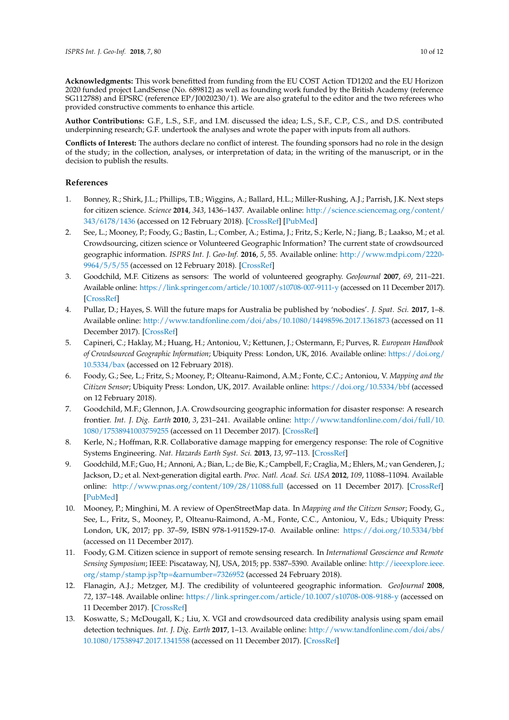**Acknowledgments:** This work benefitted from funding from the EU COST Action TD1202 and the EU Horizon 2020 funded project LandSense (No. 689812) as well as founding work funded by the British Academy (reference SG112788) and EPSRC (reference EP/J0020230/1). We are also grateful to the editor and the two referees who provided constructive comments to enhance this article.

**Author Contributions:** G.F., L.S., S.F., and I.M. discussed the idea; L.S., S.F., C.P., C.S., and D.S. contributed underpinning research; G.F. undertook the analyses and wrote the paper with inputs from all authors.

**Conflicts of Interest:** The authors declare no conflict of interest. The founding sponsors had no role in the design of the study; in the collection, analyses, or interpretation of data; in the writing of the manuscript, or in the decision to publish the results.

## **References**

- <span id="page-9-0"></span>1. Bonney, R.; Shirk, J.L.; Phillips, T.B.; Wiggins, A.; Ballard, H.L.; Miller-Rushing, A.J.; Parrish, J.K. Next steps for citizen science. *Science* **2014**, *343*, 1436–1437. Available online: [http://science.sciencemag.org/content/](http://science.sciencemag.org/content/343/6178/1436) [343/6178/1436](http://science.sciencemag.org/content/343/6178/1436) (accessed on 12 February 2018). [\[CrossRef\]](http://dx.doi.org/10.1126/science.1251554) [\[PubMed\]](http://www.ncbi.nlm.nih.gov/pubmed/24675940)
- <span id="page-9-1"></span>2. See, L.; Mooney, P.; Foody, G.; Bastin, L.; Comber, A.; Estima, J.; Fritz, S.; Kerle, N.; Jiang, B.; Laakso, M.; et al. Crowdsourcing, citizen science or Volunteered Geographic Information? The current state of crowdsourced geographic information. *ISPRS Int. J. Geo-Inf.* **2016**, *5*, 55. Available online: [http://www.mdpi.com/2220-](http://www.mdpi.com/2220-9964/5/5/55) [9964/5/5/55](http://www.mdpi.com/2220-9964/5/5/55) (accessed on 12 February 2018). [\[CrossRef\]](http://dx.doi.org/10.3390/ijgi5050055)
- <span id="page-9-2"></span>3. Goodchild, M.F. Citizens as sensors: The world of volunteered geography. *GeoJournal* **2007**, *69*, 211–221. Available online: <https://link.springer.com/article/10.1007/s10708-007-9111-y> (accessed on 11 December 2017). [\[CrossRef\]](http://dx.doi.org/10.1007/s10708-007-9111-y)
- 4. Pullar, D.; Hayes, S. Will the future maps for Australia be published by 'nobodies'. *J. Spat. Sci.* **2017**, 1–8. Available online: <http://www.tandfonline.com/doi/abs/10.1080/14498596.2017.1361873> (accessed on 11 December 2017). [\[CrossRef\]](http://dx.doi.org/10.1080/14498596.2017.1361873)
- 5. Capineri, C.; Haklay, M.; Huang, H.; Antoniou, V.; Kettunen, J.; Ostermann, F.; Purves, R. *European Handbook of Crowdsourced Geographic Information*; Ubiquity Press: London, UK, 2016. Available online: [https://doi.org/](https://doi.org/10.5334/bax) [10.5334/bax](https://doi.org/10.5334/bax) (accessed on 12 February 2018).
- <span id="page-9-3"></span>6. Foody, G.; See, L.; Fritz, S.; Mooney, P.; Olteanu-Raimond, A.M.; Fonte, C.C.; Antoniou, V. *Mapping and the Citizen Sensor*; Ubiquity Press: London, UK, 2017. Available online: <https://doi.org/10.5334/bbf> (accessed on 12 February 2018).
- <span id="page-9-4"></span>7. Goodchild, M.F.; Glennon, J.A. Crowdsourcing geographic information for disaster response: A research frontier. *Int. J. Dig. Earth* **2010**, *3*, 231–241. Available online: [http://www.tandfonline.com/doi/full/10.](http://www.tandfonline.com/doi/full/10.1080/17538941003759255) [1080/17538941003759255](http://www.tandfonline.com/doi/full/10.1080/17538941003759255) (accessed on 11 December 2017). [\[CrossRef\]](http://dx.doi.org/10.1080/17538941003759255)
- <span id="page-9-5"></span>8. Kerle, N.; Hoffman, R.R. Collaborative damage mapping for emergency response: The role of Cognitive Systems Engineering. *Nat. Hazards Earth Syst. Sci.* **2013**, *13*, 97–113. [\[CrossRef\]](http://dx.doi.org/10.5194/nhess-13-97-2013)
- <span id="page-9-6"></span>9. Goodchild, M.F.; Guo, H.; Annoni, A.; Bian, L.; de Bie, K.; Campbell, F.; Craglia, M.; Ehlers, M.; van Genderen, J.; Jackson, D.; et al. Next-generation digital earth. *Proc. Natl. Acad. Sci. USA* **2012**, *109*, 11088–11094. Available online: <http://www.pnas.org/content/109/28/11088.full> (accessed on 11 December 2017). [\[CrossRef\]](http://dx.doi.org/10.1073/pnas.1202383109) [\[PubMed\]](http://www.ncbi.nlm.nih.gov/pubmed/22723346)
- <span id="page-9-7"></span>10. Mooney, P.; Minghini, M. A review of OpenStreetMap data. In *Mapping and the Citizen Sensor*; Foody, G., See, L., Fritz, S., Mooney, P., Olteanu-Raimond, A.-M., Fonte, C.C., Antoniou, V., Eds.; Ubiquity Press: London, UK, 2017; pp. 37–59, ISBN 978-1-911529-17-0. Available online: <https://doi.org/10.5334/bbf> (accessed on 11 December 2017).
- <span id="page-9-8"></span>11. Foody, G.M. Citizen science in support of remote sensing research. In *International Geoscience and Remote Sensing Symposium*; IEEE: Piscataway, NJ, USA, 2015; pp. 5387–5390. Available online: [http://ieeexplore.ieee.](http://ieeexplore.ieee.org/stamp/stamp.jsp?tp=&arnumber=7326952) [org/stamp/stamp.jsp?tp=&arnumber=7326952](http://ieeexplore.ieee.org/stamp/stamp.jsp?tp=&arnumber=7326952) (accessed 24 February 2018).
- <span id="page-9-9"></span>12. Flanagin, A.J.; Metzger, M.J. The credibility of volunteered geographic information. *GeoJournal* **2008**, *72*, 137–148. Available online: <https://link.springer.com/article/10.1007/s10708-008-9188-y> (accessed on 11 December 2017). [\[CrossRef\]](http://dx.doi.org/10.1007/s10708-008-9188-y)
- 13. Koswatte, S.; McDougall, K.; Liu, X. VGI and crowdsourced data credibility analysis using spam email detection techniques. *Int. J. Dig. Earth* **2017**, 1–13. Available online: [http://www.tandfonline.com/doi/abs/](http://www.tandfonline.com/doi/abs/10.1080/17538947.2017.1341558) [10.1080/17538947.2017.1341558](http://www.tandfonline.com/doi/abs/10.1080/17538947.2017.1341558) (accessed on 11 December 2017). [\[CrossRef\]](http://dx.doi.org/10.1080/17538947.2017.1341558)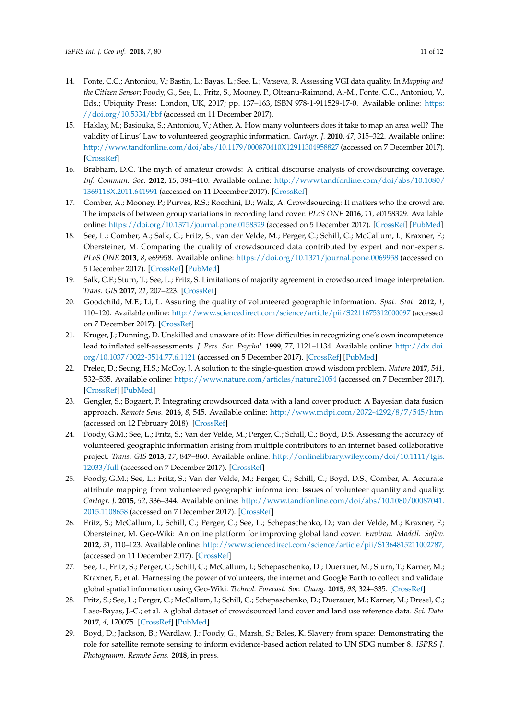- <span id="page-10-4"></span>14. Fonte, C.C.; Antoniou, V.; Bastin, L.; Bayas, L.; See, L.; Vatseva, R. Assessing VGI data quality. In *Mapping and the Citizen Sensor*; Foody, G., See, L., Fritz, S., Mooney, P., Olteanu-Raimond, A.-M., Fonte, C.C., Antoniou, V., Eds.; Ubiquity Press: London, UK, 2017; pp. 137–163, ISBN 978-1-911529-17-0. Available online: [https:](https://doi.org/10.5334/bbf)  $\frac{1}{\d{1}}$  / $\frac{\d{10.5334}}{\d{10.5334}}$  /bbf (accessed on 11 December 2017).
- <span id="page-10-0"></span>15. Haklay, M.; Basiouka, S.; Antoniou, V.; Ather, A. How many volunteers does it take to map an area well? The validity of Linus' Law to volunteered geographic information. *Cartogr. J.* **2010**, *47*, 315–322. Available online: <http://www.tandfonline.com/doi/abs/10.1179/000870410X12911304958827> (accessed on 7 December 2017). [\[CrossRef\]](http://dx.doi.org/10.1179/000870410X12911304958827)
- <span id="page-10-1"></span>16. Brabham, D.C. The myth of amateur crowds: A critical discourse analysis of crowdsourcing coverage. *Inf. Commun. Soc.* **2012**, *15*, 394–410. Available online: [http://www.tandfonline.com/doi/abs/10.1080/](http://www.tandfonline.com/doi/abs/10.1080/1369118X.2011.641991) [1369118X.2011.641991](http://www.tandfonline.com/doi/abs/10.1080/1369118X.2011.641991) (accessed on 11 December 2017). [\[CrossRef\]](http://dx.doi.org/10.1080/1369118X.2011.641991)
- <span id="page-10-2"></span>17. Comber, A.; Mooney, P.; Purves, R.S.; Rocchini, D.; Walz, A. Crowdsourcing: It matters who the crowd are. The impacts of between group variations in recording land cover. *PLoS ONE* **2016**, *11*, e0158329. Available online: <https://doi.org/10.1371/journal.pone.0158329> (accessed on 5 December 2017). [\[CrossRef\]](http://dx.doi.org/10.1371/journal.pone.0158329) [\[PubMed\]](http://www.ncbi.nlm.nih.gov/pubmed/27458924)
- <span id="page-10-3"></span>18. See, L.; Comber, A.; Salk, C.; Fritz, S.; van der Velde, M.; Perger, C.; Schill, C.; McCallum, I.; Kraxner, F.; Obersteiner, M. Comparing the quality of crowdsourced data contributed by expert and non-experts. *PLoS ONE* **2013**, *8*, e69958. Available online: <https://doi.org/10.1371/journal.pone.0069958> (accessed on 5 December 2017). [\[CrossRef\]](http://dx.doi.org/10.1371/journal.pone.0069958) [\[PubMed\]](http://www.ncbi.nlm.nih.gov/pubmed/23936126)
- <span id="page-10-5"></span>19. Salk, C.F.; Sturn, T.; See, L.; Fritz, S. Limitations of majority agreement in crowdsourced image interpretation. *Trans. GIS* **2017**, *21*, 207–223. [\[CrossRef\]](http://dx.doi.org/10.1111/tgis.12194)
- <span id="page-10-6"></span>20. Goodchild, M.F.; Li, L. Assuring the quality of volunteered geographic information. *Spat. Stat.* **2012**, *1*, 110–120. Available online: <http://www.sciencedirect.com/science/article/pii/S2211675312000097> (accessed on 7 December 2017). [\[CrossRef\]](http://dx.doi.org/10.1016/j.spasta.2012.03.002)
- <span id="page-10-7"></span>21. Kruger, J.; Dunning, D. Unskilled and unaware of it: How difficulties in recognizing one's own incompetence lead to inflated self-assessments. *J. Pers. Soc. Psychol.* **1999**, *77*, 1121–1134. Available online: [http://dx.doi.](http://dx.doi.org/10.1037/0022-3514.77.6.1121) [org/10.1037/0022-3514.77.6.1121](http://dx.doi.org/10.1037/0022-3514.77.6.1121) (accessed on 5 December 2017). [\[CrossRef\]](http://dx.doi.org/10.1037/0022-3514.77.6.1121) [\[PubMed\]](http://www.ncbi.nlm.nih.gov/pubmed/10626367)
- <span id="page-10-8"></span>22. Prelec, D.; Seung, H.S.; McCoy, J. A solution to the single-question crowd wisdom problem. *Nature* **2017**, *541*, 532–535. Available online: <https://www.nature.com/articles/nature21054> (accessed on 7 December 2017). [\[CrossRef\]](http://dx.doi.org/10.1038/nature21054) [\[PubMed\]](http://www.ncbi.nlm.nih.gov/pubmed/28128245)
- <span id="page-10-9"></span>23. Gengler, S.; Bogaert, P. Integrating crowdsourced data with a land cover product: A Bayesian data fusion approach. *Remote Sens.* **2016**, *8*, 545. Available online: <http://www.mdpi.com/2072-4292/8/7/545/htm> (accessed on 12 February 2018). [\[CrossRef\]](http://dx.doi.org/10.3390/rs8070545)
- <span id="page-10-10"></span>24. Foody, G.M.; See, L.; Fritz, S.; Van der Velde, M.; Perger, C.; Schill, C.; Boyd, D.S. Assessing the accuracy of volunteered geographic information arising from multiple contributors to an internet based collaborative project. *Trans. GIS* **2013**, *17*, 847–860. Available online: [http://onlinelibrary.wiley.com/doi/10.1111/tgis.](http://onlinelibrary.wiley.com/doi/10.1111/tgis.12033/full) [12033/full](http://onlinelibrary.wiley.com/doi/10.1111/tgis.12033/full) (accessed on 7 December 2017). [\[CrossRef\]](http://dx.doi.org/10.1111/tgis.12033)
- <span id="page-10-11"></span>25. Foody, G.M.; See, L.; Fritz, S.; Van der Velde, M.; Perger, C.; Schill, C.; Boyd, D.S.; Comber, A. Accurate attribute mapping from volunteered geographic information: Issues of volunteer quantity and quality. *Cartogr. J.* **2015**, *52*, 336–344. Available online: [http://www.tandfonline.com/doi/abs/10.1080/00087041.](http://www.tandfonline.com/doi/abs/10.1080/00087041.2015.1108658) [2015.1108658](http://www.tandfonline.com/doi/abs/10.1080/00087041.2015.1108658) (accessed on 7 December 2017). [\[CrossRef\]](http://dx.doi.org/10.1179/1743277413Y.0000000070)
- <span id="page-10-12"></span>26. Fritz, S.; McCallum, I.; Schill, C.; Perger, C.; See, L.; Schepaschenko, D.; van der Velde, M.; Kraxner, F.; Obersteiner, M. Geo-Wiki: An online platform for improving global land cover. *Environ. Modell. Softw.* **2012**, *31*, 110–123. Available online: <http://www.sciencedirect.com/science/article/pii/S1364815211002787,> (accessed on 11 December 2017). [\[CrossRef\]](http://dx.doi.org/10.1016/j.envsoft.2011.11.015)
- <span id="page-10-13"></span>27. See, L.; Fritz, S.; Perger, C.; Schill, C.; McCallum, I.; Schepaschenko, D.; Duerauer, M.; Sturn, T.; Karner, M.; Kraxner, F.; et al. Harnessing the power of volunteers, the internet and Google Earth to collect and validate global spatial information using Geo-Wiki. *Technol. Forecast. Soc. Chang.* **2015**, *98*, 324–335. [\[CrossRef\]](http://dx.doi.org/10.1016/j.techfore.2015.03.002)
- <span id="page-10-14"></span>28. Fritz, S.; See, L.; Perger, C.; McCallum, I.; Schill, C.; Schepaschenko, D.; Duerauer, M.; Karner, M.; Dresel, C.; Laso-Bayas, J.-C.; et al. A global dataset of crowdsourced land cover and land use reference data. *Sci. Data* **2017**, *4*, 170075. [\[CrossRef\]](http://dx.doi.org/10.1038/sdata.2017.75) [\[PubMed\]](http://www.ncbi.nlm.nih.gov/pubmed/28608851)
- <span id="page-10-15"></span>29. Boyd, D.; Jackson, B.; Wardlaw, J.; Foody, G.; Marsh, S.; Bales, K. Slavery from space: Demonstrating the role for satellite remote sensing to inform evidence-based action related to UN SDG number 8. *ISPRS J. Photogramm. Remote Sens.* **2018**, in press.